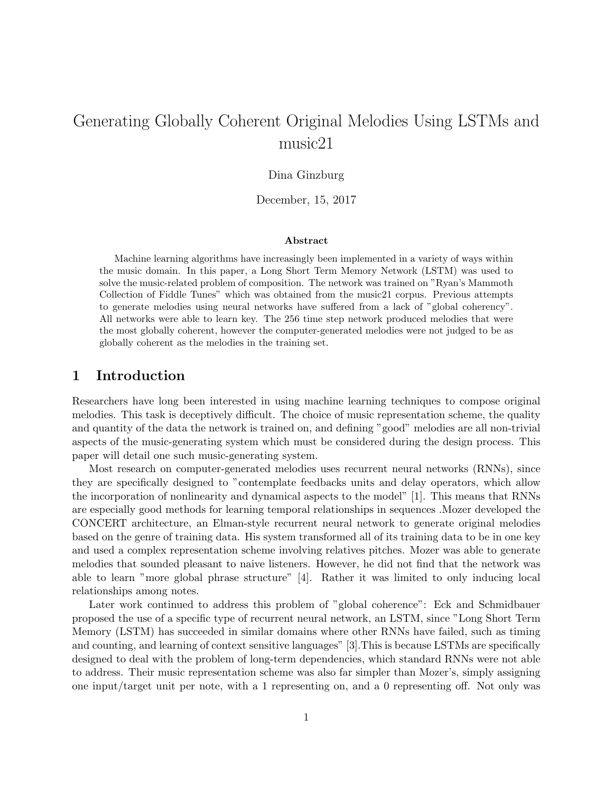# Generating Globally Coherent Original Melodies Using LSTMs and music21

## Dina Ginzburg

December, 15, 2017

#### Abstract

Machine learning algorithms have increasingly been implemented in a variety of ways within the music domain. In this paper, a Long Short Term Memory Network (LSTM) was used to solve the music-related problem of composition. The network was trained on "Ryan's Mammoth Collection of Fiddle Tunes" which was obtained from the music21 corpus. Previous attempts to generate melodies using neural networks have suffered from a lack of "global coherency". All networks were able to learn key. The 256 time step network produced melodies that were the most globally coherent, however the computer-generated melodies were not judged to be as globally coherent as the melodies in the training set.

## 1 Introduction

Researchers have long been interested in using machine learning techniques to compose original melodies. This task is deceptively difficult. The choice of music representation scheme, the quality and quantity of the data the network is trained on, and defining "good" melodies are all non-trivial aspects of the music-generating system which must be considered during the design process. This paper will detail one such music-generating system.

Most research on computer-generated melodies uses recurrent neural networks (RNNs), since they are specifically designed to "contemplate feedbacks units and delay operators, which allow the incorporation of nonlinearity and dynamical aspects to the model" [1]. This means that RNNs are especially good methods for learning temporal relationships in sequences .Mozer developed the CONCERT architecture, an Elman-style recurrent neural network to generate original melodies based on the genre of training data. His system transformed all of its training data to be in one key and used a complex representation scheme involving relatives pitches. Mozer was able to generate melodies that sounded pleasant to naive listeners. However, he did not find that the network was able to learn "more global phrase structure" [4]. Rather it was limited to only inducing local relationships among notes.

Later work continued to address this problem of "global coherence": Eck and Schmidbauer proposed the use of a specific type of recurrent neural network, an LSTM, since "Long Short Term Memory (LSTM) has succeeded in similar domains where other RNNs have failed, such as timing and counting, and learning of context sensitive languages" [3].This is because LSTMs are specifically designed to deal with the problem of long-term dependencies, which standard RNNs were not able to address. Their music representation scheme was also far simpler than Mozer's, simply assigning one input/target unit per note, with a 1 representing on, and a 0 representing off. Not only was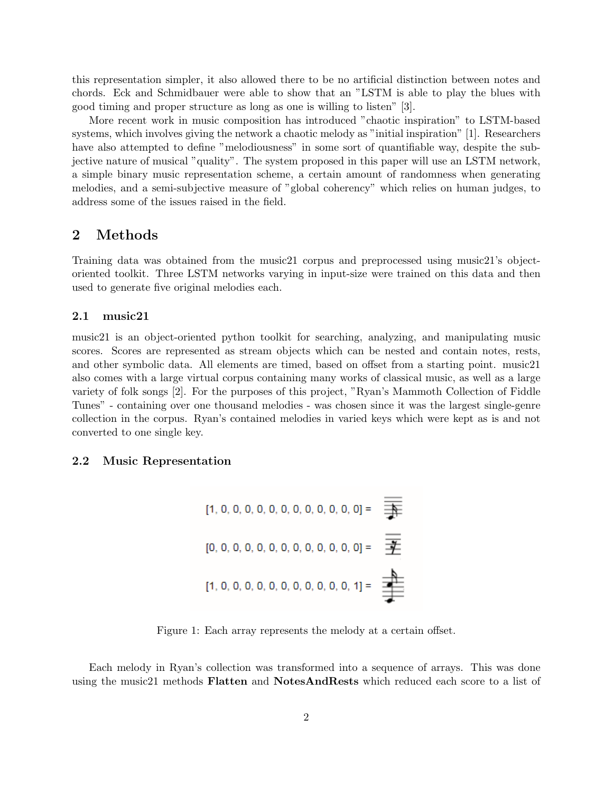this representation simpler, it also allowed there to be no artificial distinction between notes and chords. Eck and Schmidbauer were able to show that an "LSTM is able to play the blues with good timing and proper structure as long as one is willing to listen" [3].

More recent work in music composition has introduced "chaotic inspiration" to LSTM-based systems, which involves giving the network a chaotic melody as "initial inspiration" [1]. Researchers have also attempted to define "melodiousness" in some sort of quantifiable way, despite the subjective nature of musical "quality". The system proposed in this paper will use an LSTM network, a simple binary music representation scheme, a certain amount of randomness when generating melodies, and a semi-subjective measure of "global coherency" which relies on human judges, to address some of the issues raised in the field.

## 2 Methods

Training data was obtained from the music21 corpus and preprocessed using music21's objectoriented toolkit. Three LSTM networks varying in input-size were trained on this data and then used to generate five original melodies each.

#### 2.1 music21

music21 is an object-oriented python toolkit for searching, analyzing, and manipulating music scores. Scores are represented as stream objects which can be nested and contain notes, rests, and other symbolic data. All elements are timed, based on offset from a starting point. music21 also comes with a large virtual corpus containing many works of classical music, as well as a large variety of folk songs [2]. For the purposes of this project, "Ryan's Mammoth Collection of Fiddle Tunes" - containing over one thousand melodies - was chosen since it was the largest single-genre collection in the corpus. Ryan's contained melodies in varied keys which were kept as is and not converted to one single key.

#### 2.2 Music Representation

Figure 1: Each array represents the melody at a certain offset.

Each melody in Ryan's collection was transformed into a sequence of arrays. This was done using the music21 methods **Flatten** and **NotesAndRests** which reduced each score to a list of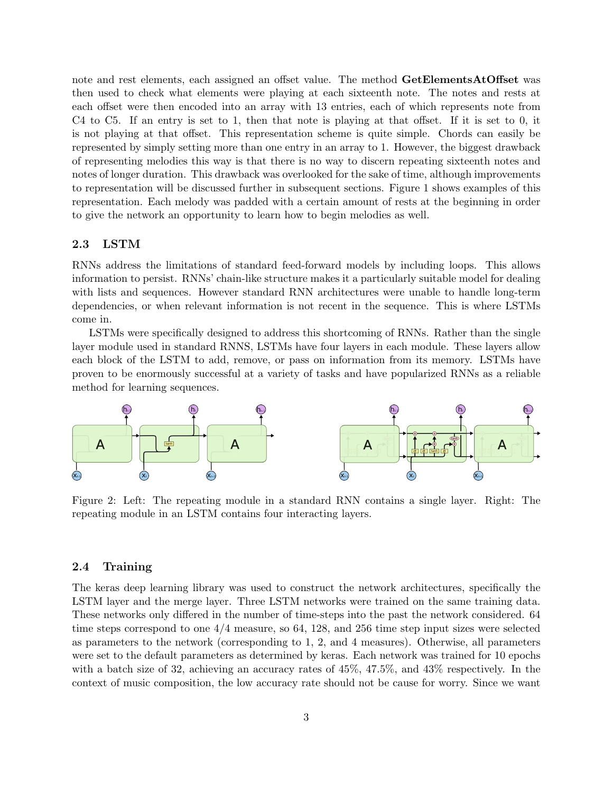note and rest elements, each assigned an offset value. The method **GetElementsAtOffset** was then used to check what elements were playing at each sixteenth note. The notes and rests at each offset were then encoded into an array with 13 entries, each of which represents note from C4 to C5. If an entry is set to 1, then that note is playing at that offset. If it is set to 0, it is not playing at that offset. This representation scheme is quite simple. Chords can easily be represented by simply setting more than one entry in an array to 1. However, the biggest drawback of representing melodies this way is that there is no way to discern repeating sixteenth notes and notes of longer duration. This drawback was overlooked for the sake of time, although improvements to representation will be discussed further in subsequent sections. Figure 1 shows examples of this representation. Each melody was padded with a certain amount of rests at the beginning in order to give the network an opportunity to learn how to begin melodies as well.

## 2.3 LSTM

RNNs address the limitations of standard feed-forward models by including loops. This allows information to persist. RNNs' chain-like structure makes it a particularly suitable model for dealing with lists and sequences. However standard RNN architectures were unable to handle long-term dependencies, or when relevant information is not recent in the sequence. This is where LSTMs come in.

LSTMs were specifically designed to address this shortcoming of RNNs. Rather than the single layer module used in standard RNNS, LSTMs have four layers in each module. These layers allow each block of the LSTM to add, remove, or pass on information from its memory. LSTMs have proven to be enormously successful at a variety of tasks and have popularized RNNs as a reliable method for learning sequences.



Figure 2: Left: The repeating module in a standard RNN contains a single layer. Right: The repeating module in an LSTM contains four interacting layers.

#### 2.4 Training

The keras deep learning library was used to construct the network architectures, specifically the LSTM layer and the merge layer. Three LSTM networks were trained on the same training data. These networks only differed in the number of time-steps into the past the network considered. 64 time steps correspond to one 4/4 measure, so 64, 128, and 256 time step input sizes were selected as parameters to the network (corresponding to 1, 2, and 4 measures). Otherwise, all parameters were set to the default parameters as determined by keras. Each network was trained for 10 epochs with a batch size of 32, achieving an accuracy rates of 45%, 47.5%, and 43% respectively. In the context of music composition, the low accuracy rate should not be cause for worry. Since we want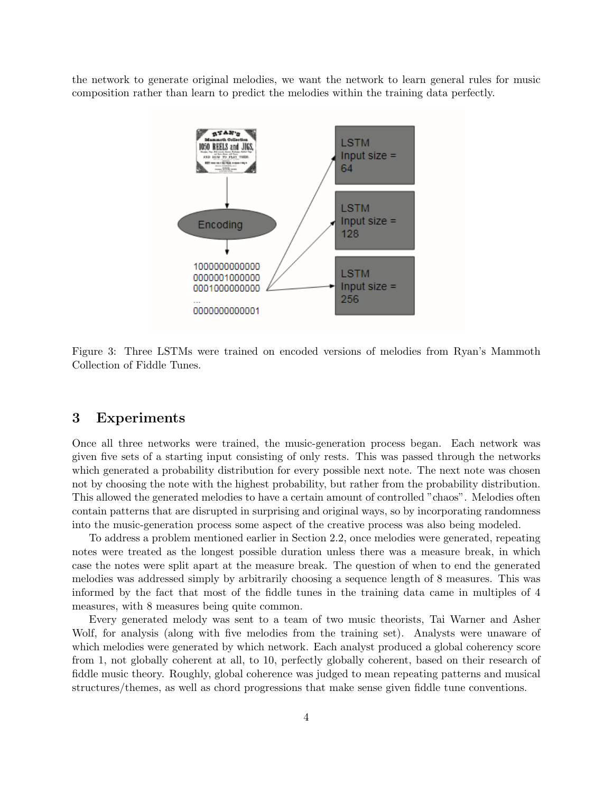the network to generate original melodies, we want the network to learn general rules for music composition rather than learn to predict the melodies within the training data perfectly.



Figure 3: Three LSTMs were trained on encoded versions of melodies from Ryan's Mammoth Collection of Fiddle Tunes.

## 3 Experiments

Once all three networks were trained, the music-generation process began. Each network was given five sets of a starting input consisting of only rests. This was passed through the networks which generated a probability distribution for every possible next note. The next note was chosen not by choosing the note with the highest probability, but rather from the probability distribution. This allowed the generated melodies to have a certain amount of controlled "chaos". Melodies often contain patterns that are disrupted in surprising and original ways, so by incorporating randomness into the music-generation process some aspect of the creative process was also being modeled.

To address a problem mentioned earlier in Section 2.2, once melodies were generated, repeating notes were treated as the longest possible duration unless there was a measure break, in which case the notes were split apart at the measure break. The question of when to end the generated melodies was addressed simply by arbitrarily choosing a sequence length of 8 measures. This was informed by the fact that most of the fiddle tunes in the training data came in multiples of 4 measures, with 8 measures being quite common.

Every generated melody was sent to a team of two music theorists, Tai Warner and Asher Wolf, for analysis (along with five melodies from the training set). Analysts were unaware of which melodies were generated by which network. Each analyst produced a global coherency score from 1, not globally coherent at all, to 10, perfectly globally coherent, based on their research of fiddle music theory. Roughly, global coherence was judged to mean repeating patterns and musical structures/themes, as well as chord progressions that make sense given fiddle tune conventions.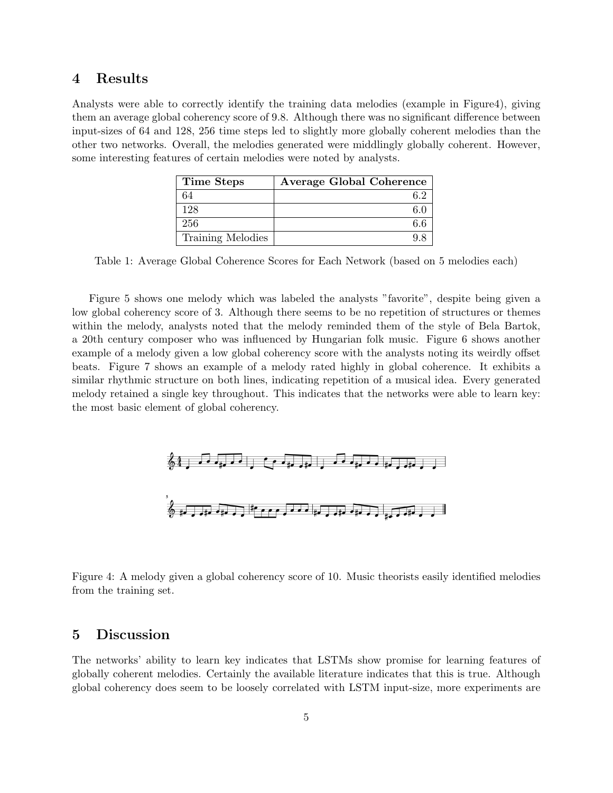## 4 Results

Analysts were able to correctly identify the training data melodies (example in Figure4), giving them an average global coherency score of 9.8. Although there was no significant difference between input-sizes of 64 and 128, 256 time steps led to slightly more globally coherent melodies than the other two networks. Overall, the melodies generated were middlingly globally coherent. However, some interesting features of certain melodies were noted by analysts.

| Time Steps        | <b>Average Global Coherence</b> |
|-------------------|---------------------------------|
| 64                |                                 |
| 128               |                                 |
| 256               |                                 |
| Training Melodies |                                 |

Table 1: Average Global Coherence Scores for Each Network (based on 5 melodies each)

Figure 5 shows one melody which was labeled the analysts "favorite", despite being given a low global coherency score of 3. Although there seems to be no repetition of structures or themes within the melody, analysts noted that the melody reminded them of the style of Bela Bartok, a 20th century composer who was influenced by Hungarian folk music. Figure 6 shows another example of a melody given a low global coherency score with the analysts noting its weirdly offset beats. Figure 7 shows an example of a melody rated highly in global coherence. It exhibits a similar rhythmic structure on both lines, indicating repetition of a musical idea. Every generated melody retained a single key throughout. This indicates that the networks were able to learn key: the most basic element of global coherency.



Figure 4: A melody given a global coherency score of 10. Music theorists easily identified melodies from the training set.

## 5 Discussion

The networks' ability to learn key indicates that LSTMs show promise for learning features of globally coherent melodies. Certainly the available literature indicates that this is true. Although global coherency does seem to be loosely correlated with LSTM input-size, more experiments are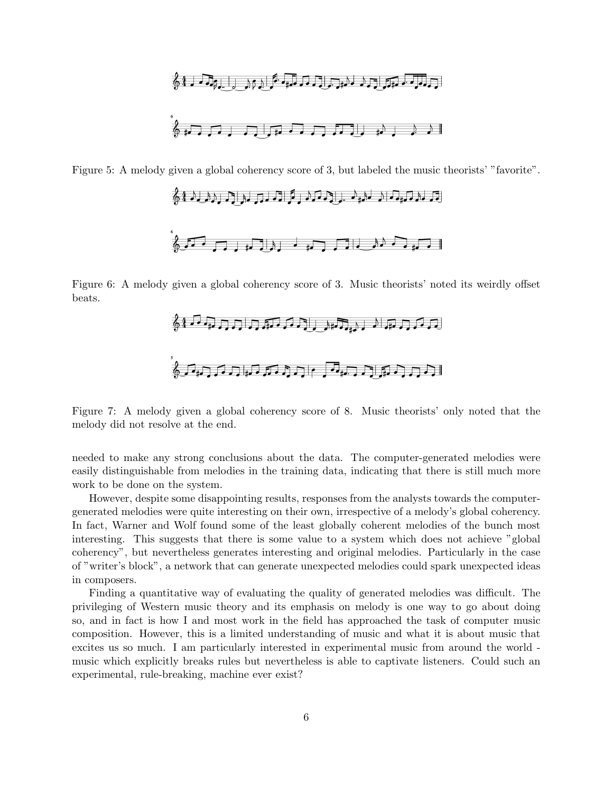

Figure 5: A melody given a global coherency score of 3, but labeled the music theorists' "favorite".



Figure 6: A melody given a global coherency score of 3. Music theorists' noted its weirdly offset beats.



Figure 7: A melody given a global coherency score of 8. Music theorists' only noted that the melody did not resolve at the end.

needed to make any strong conclusions about the data. The computer-generated melodies were easily distinguishable from melodies in the training data, indicating that there is still much more work to be done on the system.

However, despite some disappointing results, responses from the analysts towards the computergenerated melodies were quite interesting on their own, irrespective of a melody's global coherency. In fact, Warner and Wolf found some of the least globally coherent melodies of the bunch most interesting. This suggests that there is some value to a system which does not achieve "global coherency", but nevertheless generates interesting and original melodies. Particularly in the case of "writer's block", a network that can generate unexpected melodies could spark unexpected ideas in composers.

Finding a quantitative way of evaluating the quality of generated melodies was difficult. The privileging of Western music theory and its emphasis on melody is one way to go about doing so, and in fact is how I and most work in the field has approached the task of computer music composition. However, this is a limited understanding of music and what it is about music that excites us so much. I am particularly interested in experimental music from around the world music which explicitly breaks rules but nevertheless is able to captivate listeners. Could such an experimental, rule-breaking, machine ever exist?